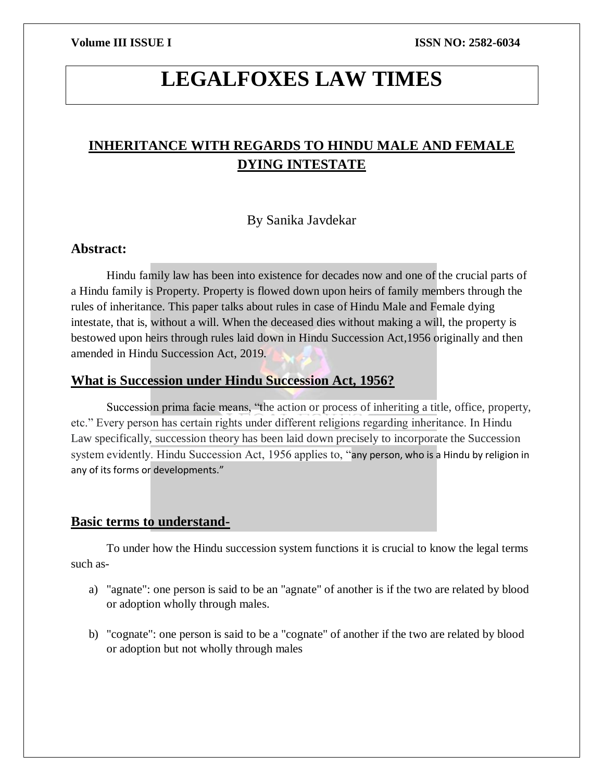# **LEGALFOXES LAW TIMES**

# **INHERITANCE WITH REGARDS TO HINDU MALE AND FEMALE DYING INTESTATE**

#### By Sanika Javdekar

#### **Abstract:**

Hindu family law has been into existence for decades now and one of the crucial parts of a Hindu family is Property. Property is flowed down upon heirs of family members through the rules of inheritance. This paper talks about rules in case of Hindu Male and Female dying intestate, that is, without a will. When the deceased dies without making a will, the property is bestowed upon heirs through rules laid down in Hindu Succession Act,1956 originally and then amended in Hindu Succession Act, 2019.

### **What is Succession under Hindu Succession Act, 1956?**

Succession prima facie means, "the action or process of inheriting a title, office, property, etc." Every person has certain rights under different religions regarding inheritance. In Hindu Law specifically, succession theory has been laid down precisely to incorporate the Succession system evidently. Hindu Succession Act, 1956 applies to, "any person, who is a Hindu by religion in any of its forms or developments."

# **Basic terms to understand-**

To under how the Hindu succession system functions it is crucial to know the legal terms such as-

- a) "agnate": one person is said to be an "agnate" of another is if the two are related by blood or adoption wholly through males.
- b) "cognate": one person is said to be a "cognate" of another if the two are related by blood or adoption but not wholly through males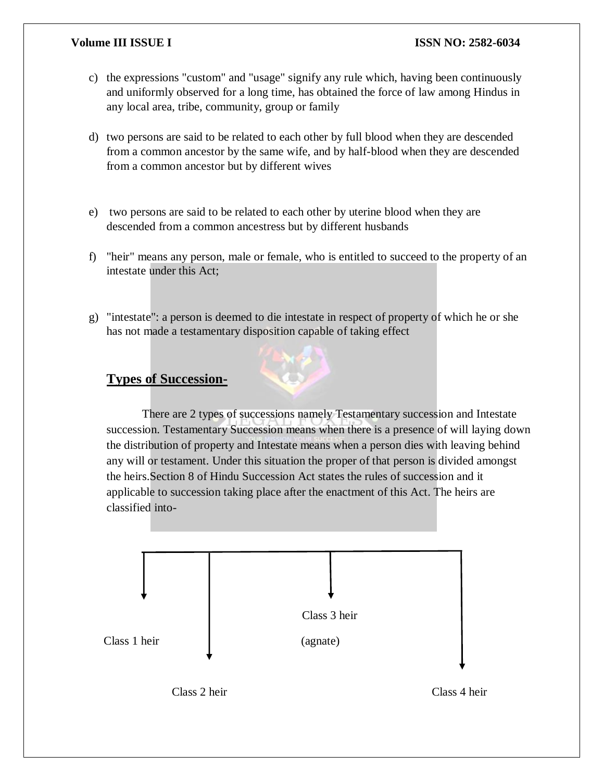- c) the expressions "custom" and "usage" signify any rule which, having been continuously and uniformly observed for a long time, has obtained the force of law among Hindus in any local area, tribe, community, group or family
- d) two persons are said to be related to each other by full blood when they are descended from a common ancestor by the same wife, and by half-blood when they are descended from a common ancestor but by different wives
- e) two persons are said to be related to each other by uterine blood when they are descended from a common ancestress but by different husbands
- f) "heir" means any person, male or female, who is entitled to succeed to the property of an intestate under this Act;
- g) "intestate": a person is deemed to die intestate in respect of property of which he or she has not made a testamentary disposition capable of taking effect

# **Types of Succession-**

There are 2 types of successions namely Testamentary succession and Intestate succession. Testamentary Succession means when there is a presence of will laying down the distribution of property and Intestate means when a person dies with leaving behind any will or testament. Under this situation the proper of that person is divided amongst the heirs.Section 8 of Hindu Succession Act states the rules of succession and it applicable to succession taking place after the enactment of this Act. The heirs are classified into-



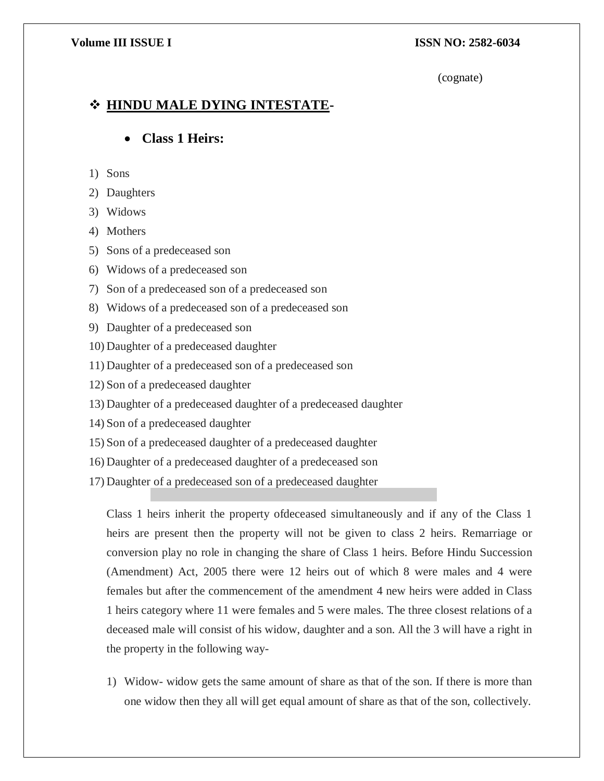#### (cognate)

# **HINDU MALE DYING INTESTATE-**

# **Class 1 Heirs:**

- 1) Sons
- 2) Daughters
- 3) Widows
- 4) Mothers
- 5) Sons of a predeceased son
- 6) Widows of a predeceased son
- 7) Son of a predeceased son of a predeceased son
- 8) Widows of a predeceased son of a predeceased son
- 9) Daughter of a predeceased son
- 10) Daughter of a predeceased daughter
- 11) Daughter of a predeceased son of a predeceased son
- 12) Son of a predeceased daughter
- 13) Daughter of a predeceased daughter of a predeceased daughter
- 14) Son of a predeceased daughter
- 15) Son of a predeceased daughter of a predeceased daughter
- 16) Daughter of a predeceased daughter of a predeceased son
- 17) Daughter of a predeceased son of a predeceased daughter

Class 1 heirs inherit the property ofdeceased simultaneously and if any of the Class 1 heirs are present then the property will not be given to class 2 heirs. Remarriage or conversion play no role in changing the share of Class 1 heirs. Before Hindu Succession (Amendment) Act, 2005 there were 12 heirs out of which 8 were males and 4 were females but after the commencement of the amendment 4 new heirs were added in Class 1 heirs category where 11 were females and 5 were males. The three closest relations of a deceased male will consist of his widow, daughter and a son. All the 3 will have a right in the property in the following way-

1) Widow- widow gets the same amount of share as that of the son. If there is more than one widow then they all will get equal amount of share as that of the son, collectively.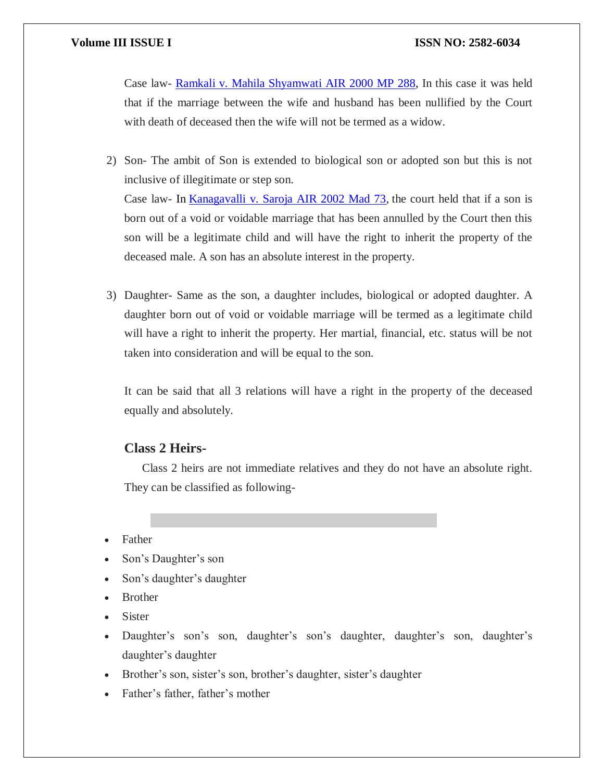Case law- [Ramkali v. Mahila Shyamwati AIR 2000 MP 288,](https://indiankanoon.org/doc/1232391/) In this case it was held that if the marriage between the wife and husband has been nullified by the Court with death of deceased then the wife will not be termed as a widow.

- 2) Son- The ambit of Son is extended to biological son or adopted son but this is not inclusive of illegitimate or step son. Case law- In [Kanagavalli v. Saroja AIR 2002 Mad 73,](https://indiankanoon.org/doc/948494/) the court held that if a son is born out of a void or voidable marriage that has been annulled by the Court then this son will be a legitimate child and will have the right to inherit the property of the deceased male. A son has an absolute interest in the property.
- 3) Daughter- Same as the son, a daughter includes, biological or adopted daughter. A daughter born out of void or voidable marriage will be termed as a legitimate child will have a right to inherit the property. Her martial, financial, etc. status will be not taken into consideration and will be equal to the son.

It can be said that all 3 relations will have a right in the property of the deceased equally and absolutely.

#### **Class 2 Heirs-**

Class 2 heirs are not immediate relatives and they do not have an absolute right. They can be classified as following-

- Father
- Son's Daughter's son
- Son's daughter's daughter
- Brother
- Sister
- Daughter's son's son, daughter's son's daughter, daughter's son, daughter's daughter's daughter
- Brother's son, sister's son, brother's daughter, sister's daughter
- Father's father, father's mother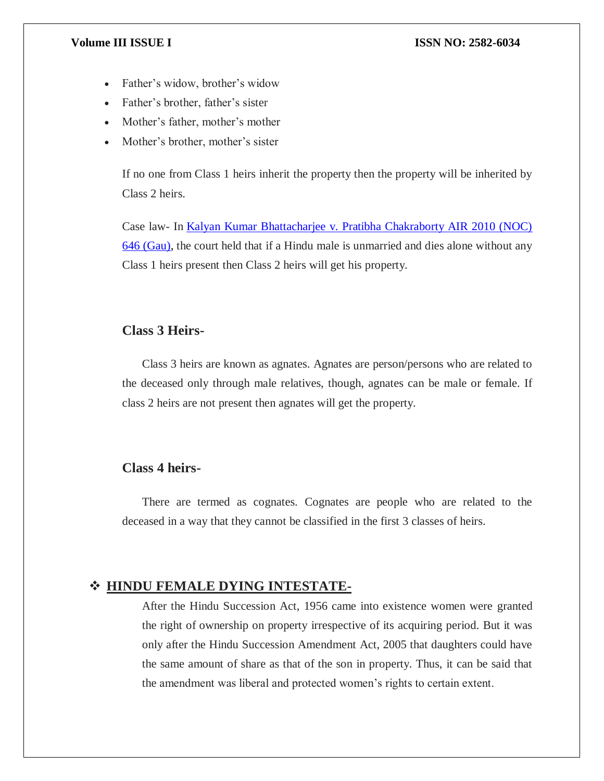- Father's widow, brother's widow
- Father's brother, father's sister
- Mother's father, mother's mother
- Mother's brother, mother's sister

If no one from Class 1 heirs inherit the property then the property will be inherited by Class 2 heirs.

Case law- In [Kalyan Kumar Bhattacharjee v. Pratibha Chakraborty AIR 2010 \(NOC\)](https://www.casemine.com/judgement/in/56eaac42607dba3c8ce4139a)  [646 \(Gau\),](https://www.casemine.com/judgement/in/56eaac42607dba3c8ce4139a) the court held that if a Hindu male is unmarried and dies alone without any Class 1 heirs present then Class 2 heirs will get his property.

# **Class 3 Heirs-**

Class 3 heirs are known as agnates. Agnates are person/persons who are related to the deceased only through male relatives, though, agnates can be male or female. If class 2 heirs are not present then agnates will get the property.

### **Class 4 heirs-**

There are termed as cognates. Cognates are people who are related to the deceased in a way that they cannot be classified in the first 3 classes of heirs.

### **HINDU FEMALE DYING INTESTATE-**

After the Hindu Succession Act, 1956 came into existence women were granted the right of ownership on property irrespective of its acquiring period. But it was only after the Hindu Succession Amendment Act, 2005 that daughters could have the same amount of share as that of the son in property. Thus, it can be said that the amendment was liberal and protected women's rights to certain extent.